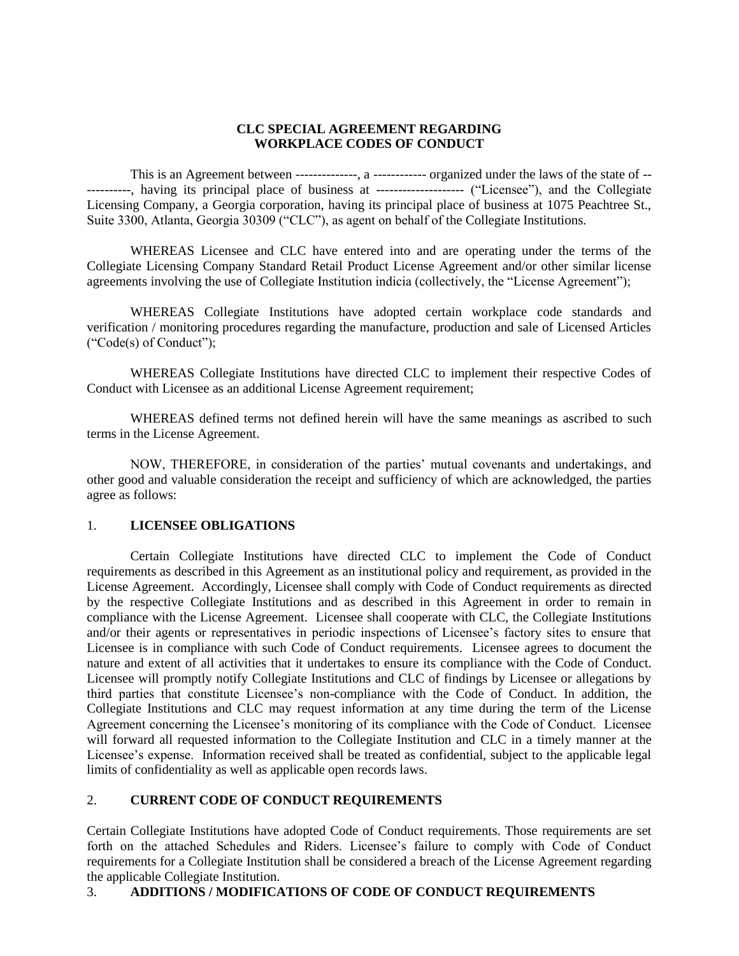## **CLC SPECIAL AGREEMENT REGARDING WORKPLACE CODES OF CONDUCT**

This is an Agreement between --------------, a ------------ organized under the laws of the state of -- ----------, having its principal place of business at -------------------- ("Licensee"), and the Collegiate Licensing Company, a Georgia corporation, having its principal place of business at 1075 Peachtree St., Suite 3300, Atlanta, Georgia 30309 ("CLC"), as agent on behalf of the Collegiate Institutions.

WHEREAS Licensee and CLC have entered into and are operating under the terms of the Collegiate Licensing Company Standard Retail Product License Agreement and/or other similar license agreements involving the use of Collegiate Institution indicia (collectively, the "License Agreement");

WHEREAS Collegiate Institutions have adopted certain workplace code standards and verification / monitoring procedures regarding the manufacture, production and sale of Licensed Articles ("Code(s) of Conduct");

WHEREAS Collegiate Institutions have directed CLC to implement their respective Codes of Conduct with Licensee as an additional License Agreement requirement;

WHEREAS defined terms not defined herein will have the same meanings as ascribed to such terms in the License Agreement.

NOW, THEREFORE, in consideration of the parties' mutual covenants and undertakings, and other good and valuable consideration the receipt and sufficiency of which are acknowledged, the parties agree as follows:

## 1. **LICENSEE OBLIGATIONS**

Certain Collegiate Institutions have directed CLC to implement the Code of Conduct requirements as described in this Agreement as an institutional policy and requirement, as provided in the License Agreement. Accordingly, Licensee shall comply with Code of Conduct requirements as directed by the respective Collegiate Institutions and as described in this Agreement in order to remain in compliance with the License Agreement. Licensee shall cooperate with CLC, the Collegiate Institutions and/or their agents or representatives in periodic inspections of Licensee's factory sites to ensure that Licensee is in compliance with such Code of Conduct requirements. Licensee agrees to document the nature and extent of all activities that it undertakes to ensure its compliance with the Code of Conduct. Licensee will promptly notify Collegiate Institutions and CLC of findings by Licensee or allegations by third parties that constitute Licensee's non-compliance with the Code of Conduct. In addition, the Collegiate Institutions and CLC may request information at any time during the term of the License Agreement concerning the Licensee's monitoring of its compliance with the Code of Conduct. Licensee will forward all requested information to the Collegiate Institution and CLC in a timely manner at the Licensee's expense. Information received shall be treated as confidential, subject to the applicable legal limits of confidentiality as well as applicable open records laws.

## 2. **CURRENT CODE OF CONDUCT REQUIREMENTS**

Certain Collegiate Institutions have adopted Code of Conduct requirements. Those requirements are set forth on the attached Schedules and Riders. Licensee's failure to comply with Code of Conduct requirements for a Collegiate Institution shall be considered a breach of the License Agreement regarding the applicable Collegiate Institution.

## 3. **ADDITIONS / MODIFICATIONS OF CODE OF CONDUCT REQUIREMENTS**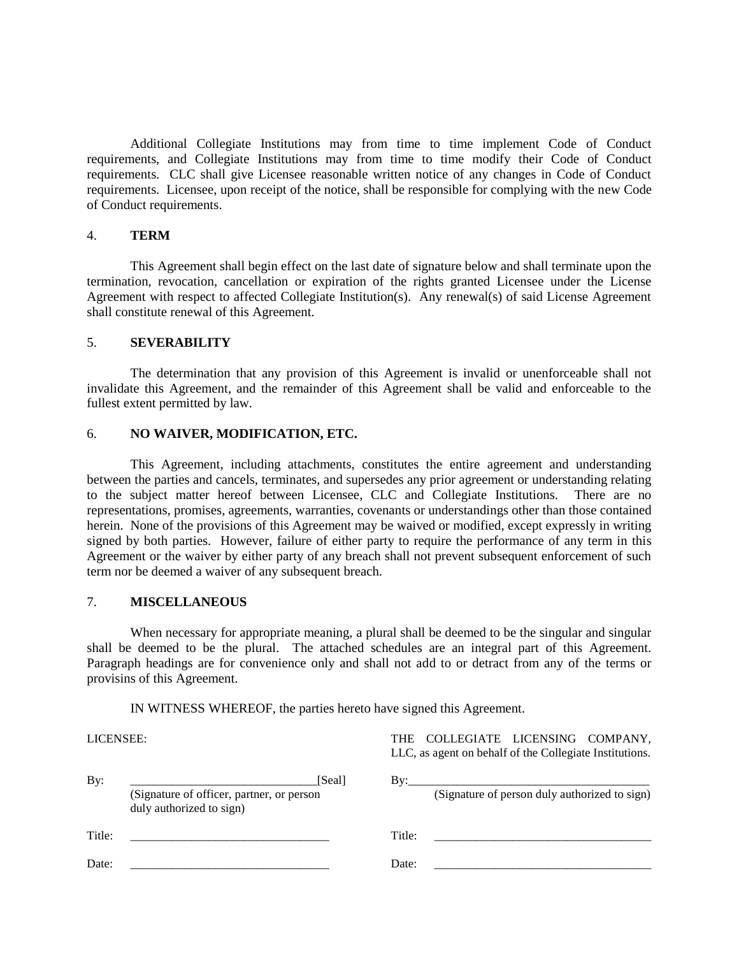Additional Collegiate Institutions may from time to time implement Code of Conduct requirements, and Collegiate Institutions may from time to time modify their Code of Conduct requirements. CLC shall give Licensee reasonable written notice of any changes in Code of Conduct requirements. Licensee, upon receipt of the notice, shall be responsible for complying with the new Code of Conduct requirements.

### 4. **TERM**

This Agreement shall begin effect on the last date of signature below and shall terminate upon the termination, revocation, cancellation or expiration of the rights granted Licensee under the License Agreement with respect to affected Collegiate Institution(s). Any renewal(s) of said License Agreement shall constitute renewal of this Agreement.

### 5. **SEVERABILITY**

The determination that any provision of this Agreement is invalid or unenforceable shall not invalidate this Agreement, and the remainder of this Agreement shall be valid and enforceable to the fullest extent permitted by law.

### 6. **NO WAIVER, MODIFICATION, ETC.**

This Agreement, including attachments, constitutes the entire agreement and understanding between the parties and cancels, terminates, and supersedes any prior agreement or understanding relating to the subject matter hereof between Licensee, CLC and Collegiate Institutions. There are no representations, promises, agreements, warranties, covenants or understandings other than those contained herein. None of the provisions of this Agreement may be waived or modified, except expressly in writing signed by both parties. However, failure of either party to require the performance of any term in this Agreement or the waiver by either party of any breach shall not prevent subsequent enforcement of such term nor be deemed a waiver of any subsequent breach.

#### 7. **MISCELLANEOUS**

When necessary for appropriate meaning, a plural shall be deemed to be the singular and singular shall be deemed to be the plural. The attached schedules are an integral part of this Agreement. Paragraph headings are for convenience only and shall not add to or detract from any of the terms or provisins of this Agreement.

IN WITNESS WHEREOF, the parties hereto have signed this Agreement.

LICENSEE:

THE COLLEGIATE LICENSING COMPANY, LLC, as agent on behalf of the Collegiate Institutions.

| By:    | [Seal]<br>(Signature of officer, partner, or person<br>duly authorized to sign) | Bv:    | (Signature of person duly authorized to sign) |
|--------|---------------------------------------------------------------------------------|--------|-----------------------------------------------|
| Title: |                                                                                 | Title: |                                               |
| Date:  |                                                                                 | Date:  |                                               |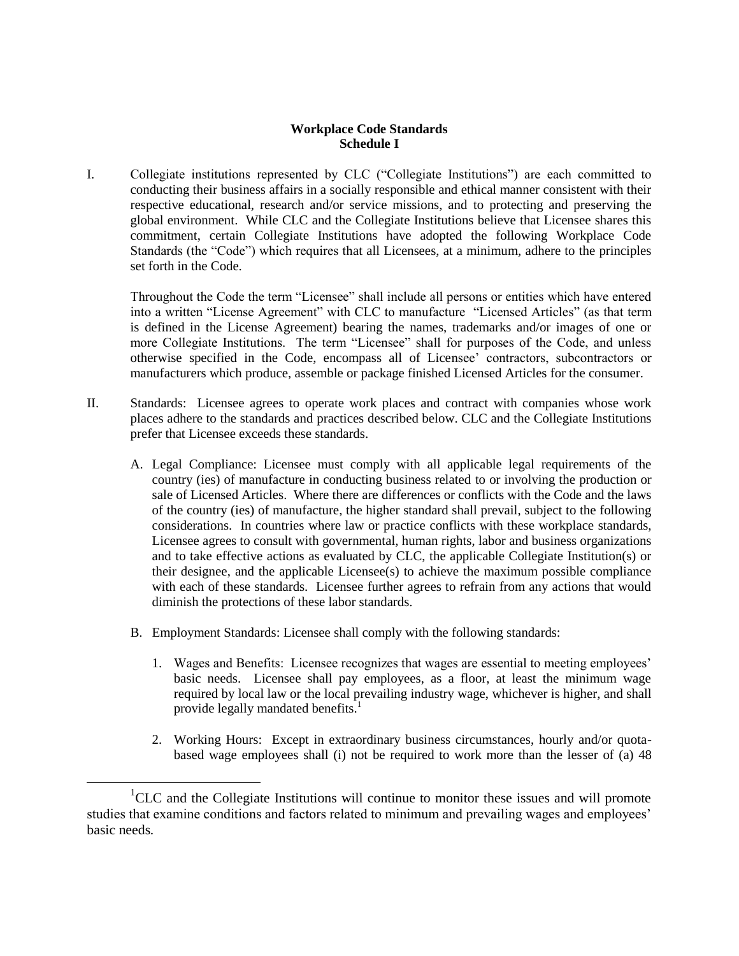## **Workplace Code Standards Schedule I**

I. Collegiate institutions represented by CLC ("Collegiate Institutions") are each committed to conducting their business affairs in a socially responsible and ethical manner consistent with their respective educational, research and/or service missions, and to protecting and preserving the global environment. While CLC and the Collegiate Institutions believe that Licensee shares this commitment, certain Collegiate Institutions have adopted the following Workplace Code Standards (the "Code") which requires that all Licensees, at a minimum, adhere to the principles set forth in the Code.

Throughout the Code the term "Licensee" shall include all persons or entities which have entered into a written "License Agreement" with CLC to manufacture "Licensed Articles" (as that term is defined in the License Agreement) bearing the names, trademarks and/or images of one or more Collegiate Institutions. The term "Licensee" shall for purposes of the Code, and unless otherwise specified in the Code, encompass all of Licensee' contractors, subcontractors or manufacturers which produce, assemble or package finished Licensed Articles for the consumer.

- II. Standards: Licensee agrees to operate work places and contract with companies whose work places adhere to the standards and practices described below. CLC and the Collegiate Institutions prefer that Licensee exceeds these standards.
	- A. Legal Compliance: Licensee must comply with all applicable legal requirements of the country (ies) of manufacture in conducting business related to or involving the production or sale of Licensed Articles. Where there are differences or conflicts with the Code and the laws of the country (ies) of manufacture, the higher standard shall prevail, subject to the following considerations. In countries where law or practice conflicts with these workplace standards, Licensee agrees to consult with governmental, human rights, labor and business organizations and to take effective actions as evaluated by CLC, the applicable Collegiate Institution(s) or their designee, and the applicable Licensee(s) to achieve the maximum possible compliance with each of these standards. Licensee further agrees to refrain from any actions that would diminish the protections of these labor standards.
	- B. Employment Standards: Licensee shall comply with the following standards:

 $\overline{a}$ 

- 1. Wages and Benefits: Licensee recognizes that wages are essential to meeting employees' basic needs. Licensee shall pay employees, as a floor, at least the minimum wage required by local law or the local prevailing industry wage, whichever is higher, and shall provide legally mandated benefits.<sup>1</sup>
- 2. Working Hours: Except in extraordinary business circumstances, hourly and/or quotabased wage employees shall (i) not be required to work more than the lesser of (a) 48

<sup>&</sup>lt;sup>1</sup>CLC and the Collegiate Institutions will continue to monitor these issues and will promote studies that examine conditions and factors related to minimum and prevailing wages and employees' basic needs*.*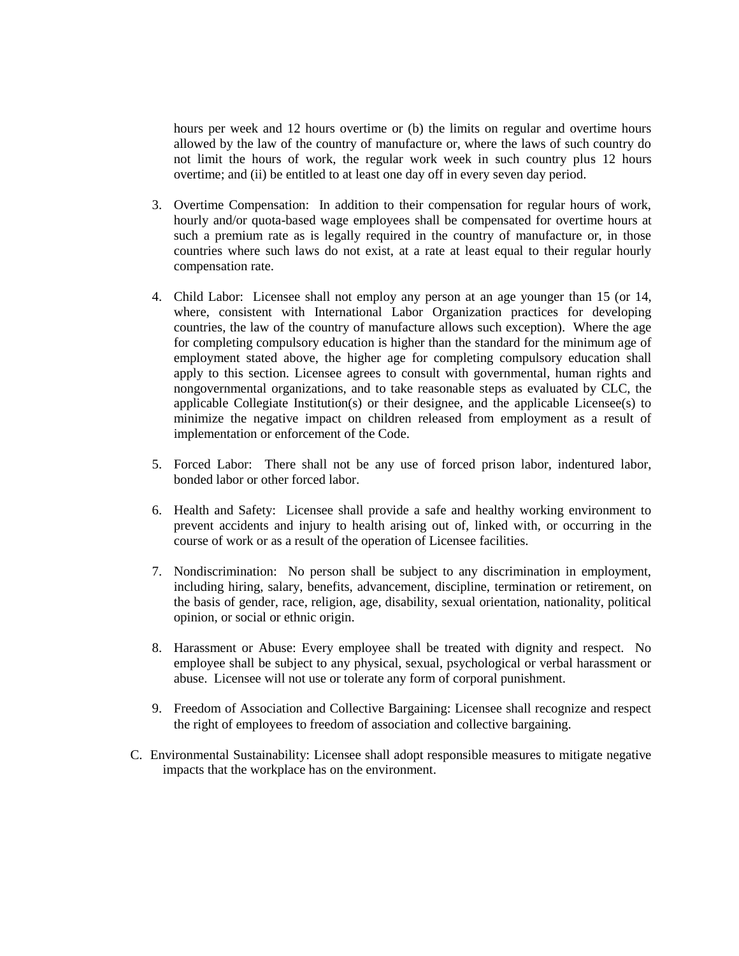hours per week and 12 hours overtime or (b) the limits on regular and overtime hours allowed by the law of the country of manufacture or, where the laws of such country do not limit the hours of work, the regular work week in such country plus 12 hours overtime; and (ii) be entitled to at least one day off in every seven day period.

- 3. Overtime Compensation: In addition to their compensation for regular hours of work, hourly and/or quota-based wage employees shall be compensated for overtime hours at such a premium rate as is legally required in the country of manufacture or, in those countries where such laws do not exist, at a rate at least equal to their regular hourly compensation rate.
- 4. Child Labor: Licensee shall not employ any person at an age younger than 15 (or 14, where, consistent with International Labor Organization practices for developing countries, the law of the country of manufacture allows such exception). Where the age for completing compulsory education is higher than the standard for the minimum age of employment stated above, the higher age for completing compulsory education shall apply to this section. Licensee agrees to consult with governmental, human rights and nongovernmental organizations, and to take reasonable steps as evaluated by CLC, the applicable Collegiate Institution(s) or their designee, and the applicable Licensee(s) to minimize the negative impact on children released from employment as a result of implementation or enforcement of the Code.
- 5. Forced Labor: There shall not be any use of forced prison labor, indentured labor, bonded labor or other forced labor.
- 6. Health and Safety: Licensee shall provide a safe and healthy working environment to prevent accidents and injury to health arising out of, linked with, or occurring in the course of work or as a result of the operation of Licensee facilities.
- 7. Nondiscrimination: No person shall be subject to any discrimination in employment, including hiring, salary, benefits, advancement, discipline, termination or retirement, on the basis of gender, race, religion, age, disability, sexual orientation, nationality, political opinion, or social or ethnic origin.
- 8. Harassment or Abuse: Every employee shall be treated with dignity and respect. No employee shall be subject to any physical, sexual, psychological or verbal harassment or abuse. Licensee will not use or tolerate any form of corporal punishment.
- 9. Freedom of Association and Collective Bargaining: Licensee shall recognize and respect the right of employees to freedom of association and collective bargaining.
- C. Environmental Sustainability: Licensee shall adopt responsible measures to mitigate negative impacts that the workplace has on the environment.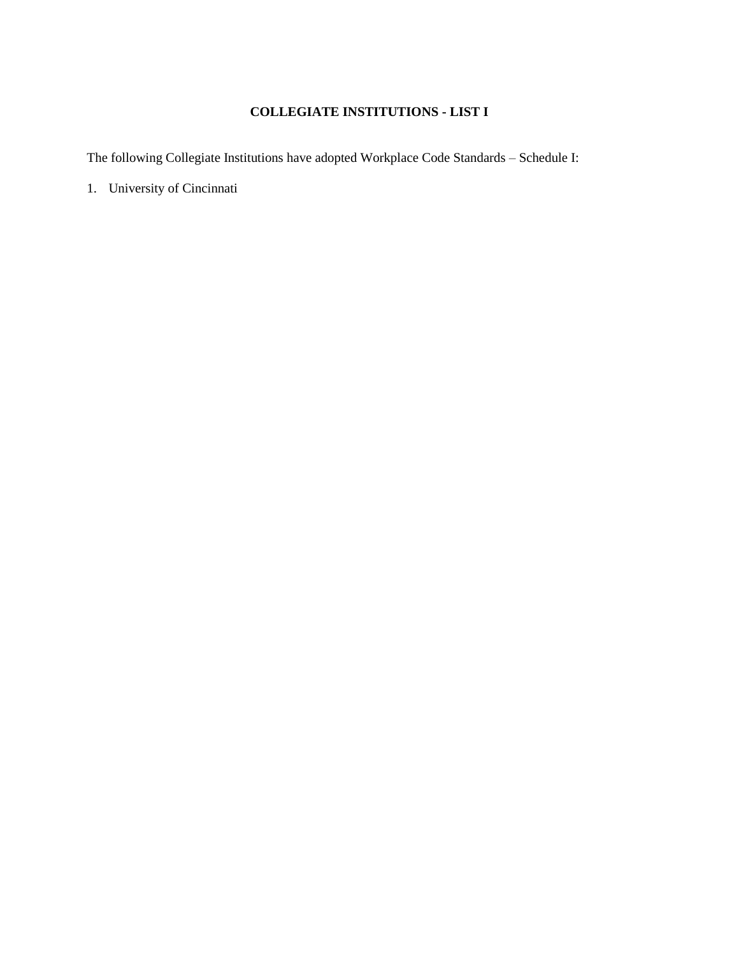# **COLLEGIATE INSTITUTIONS - LIST I**

The following Collegiate Institutions have adopted Workplace Code Standards – Schedule I:

1. University of Cincinnati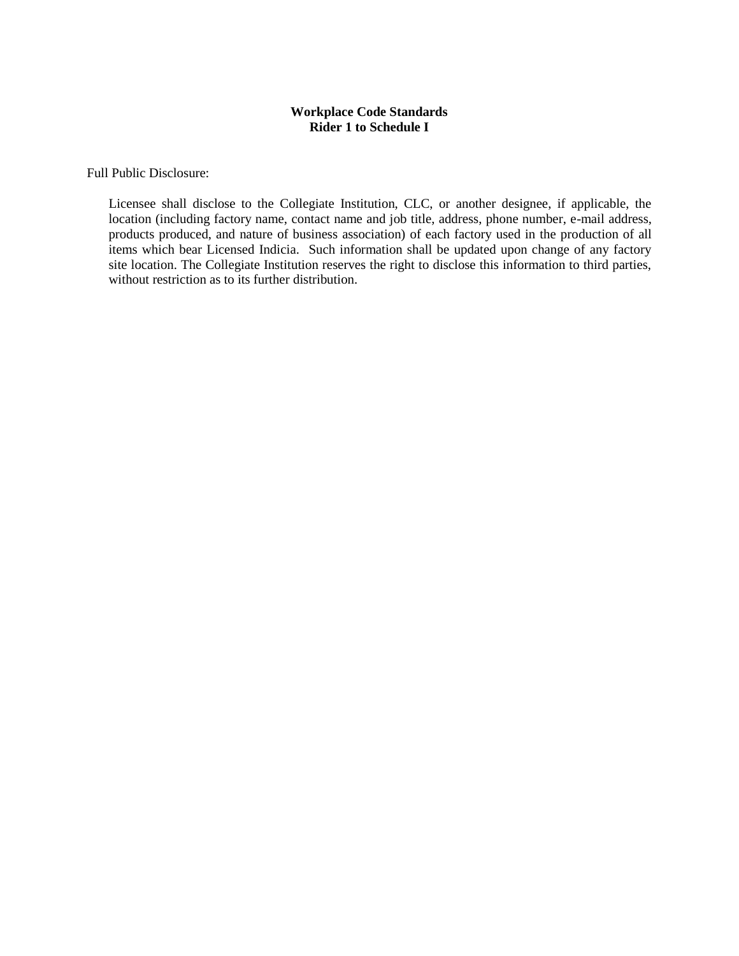## **Workplace Code Standards Rider 1 to Schedule I**

Full Public Disclosure:

Licensee shall disclose to the Collegiate Institution, CLC, or another designee, if applicable, the location (including factory name, contact name and job title, address, phone number, e-mail address, products produced, and nature of business association) of each factory used in the production of all items which bear Licensed Indicia. Such information shall be updated upon change of any factory site location. The Collegiate Institution reserves the right to disclose this information to third parties, without restriction as to its further distribution.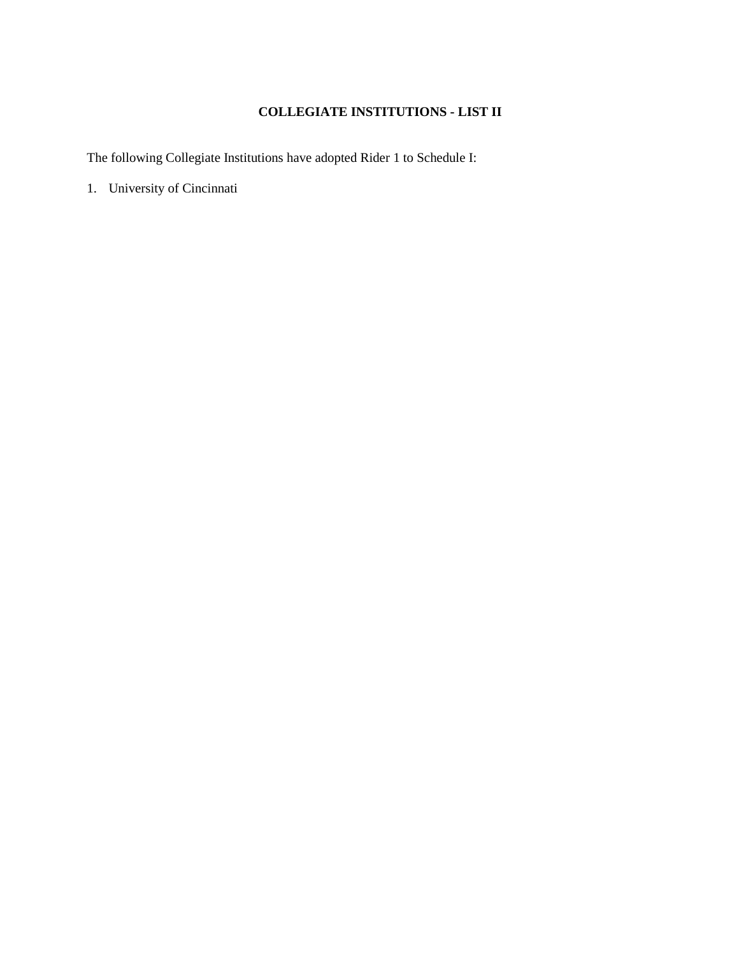# **COLLEGIATE INSTITUTIONS - LIST II**

The following Collegiate Institutions have adopted Rider 1 to Schedule I:

1. University of Cincinnati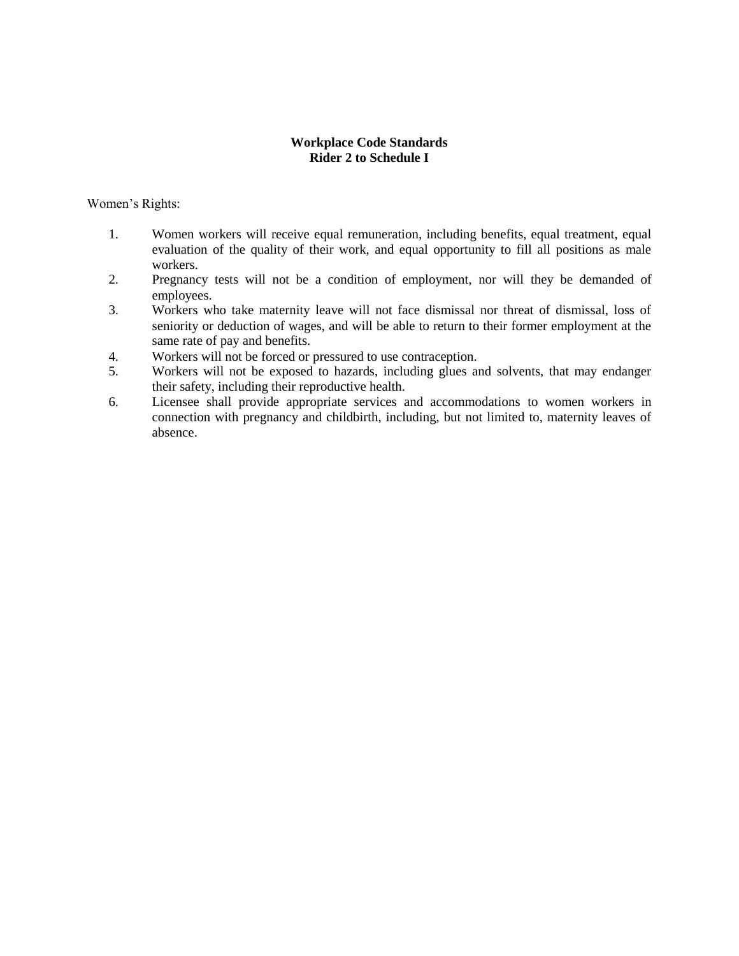## **Workplace Code Standards Rider 2 to Schedule I**

Women's Rights:

- 1. Women workers will receive equal remuneration, including benefits, equal treatment, equal evaluation of the quality of their work, and equal opportunity to fill all positions as male workers.
- 2. Pregnancy tests will not be a condition of employment, nor will they be demanded of employees.
- 3. Workers who take maternity leave will not face dismissal nor threat of dismissal, loss of seniority or deduction of wages, and will be able to return to their former employment at the same rate of pay and benefits.
- 4. Workers will not be forced or pressured to use contraception.
- 5. Workers will not be exposed to hazards, including glues and solvents, that may endanger their safety, including their reproductive health.
- 6. Licensee shall provide appropriate services and accommodations to women workers in connection with pregnancy and childbirth, including, but not limited to, maternity leaves of absence.